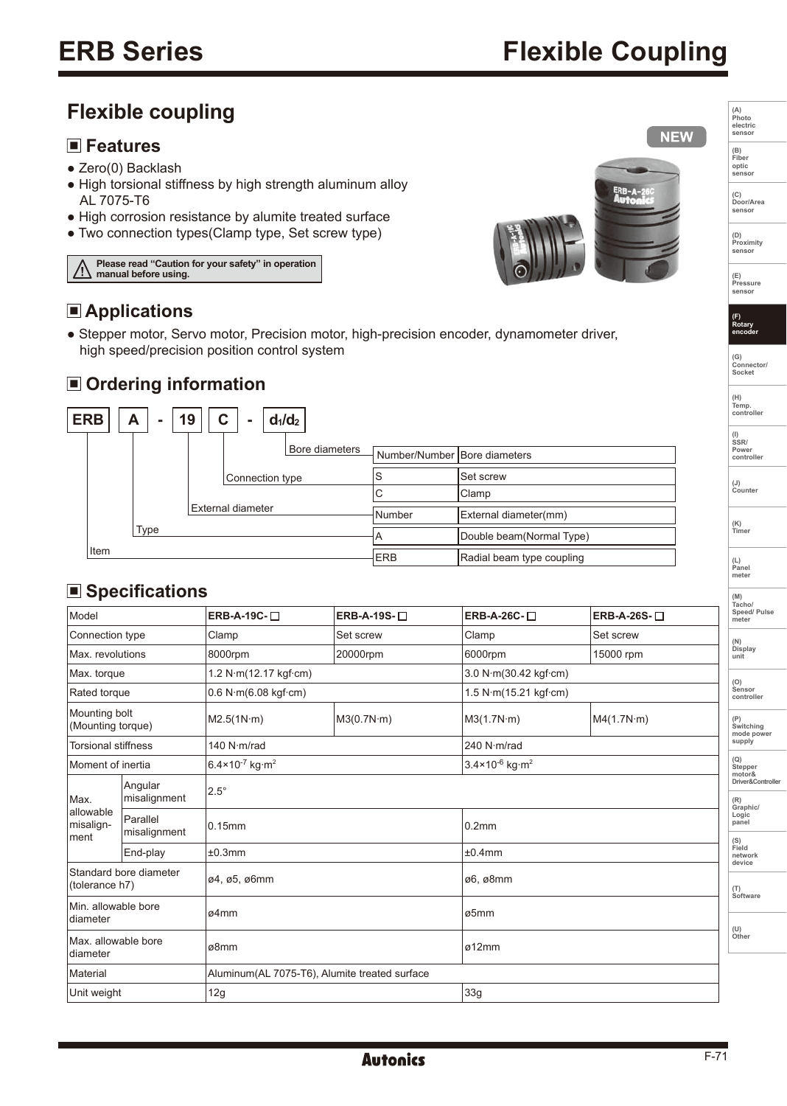**(A) Photo electric sensor**

**NEW** 

**(B) Fiber optic sensor**

**(C) Door/Area sensor** 

**(D) Proximity** senso

**(E) Pressure sensor** 

**(F) Rotary encoder** 

**(G) Connector/ Socket** 

**(H) Temp. controller**

**(I) SSR/ Power controller**

**(J) Counter** 

**(K) Timer** 

**(L) Panel meter** 

# **Flexible coupling**

### **Features**

- Zero(0) Backlash
- High torsional stiffness by high strength aluminum alloy AL 7075-T6
- High corrosion resistance by alumite treated surface
- Two connection types(Clamp type, Set screw type)





## **Applications**

● Stepper motor, Servo motor, Precision motor, high-precision encoder, dynamometer driver, high speed/precision position control system

### **Ordering information**



## ■ Specifications

|                                          |                          |                                                |                   |                                        |                             | (M)<br>Tacho/                     |  |
|------------------------------------------|--------------------------|------------------------------------------------|-------------------|----------------------------------------|-----------------------------|-----------------------------------|--|
| Model                                    |                          | ERB-A-19C-□                                    | ERB-A-19S- $\Box$ | ERB-A-26C-□                            | ERB-A-26S-□                 | Speed/ Pulse<br>meter             |  |
| Connection type                          |                          | Clamp                                          | Set screw         | Clamp                                  | Set screw                   | (N)                               |  |
| Max. revolutions                         |                          | 8000rpm                                        | 20000rpm          | 6000rpm                                | 15000 rpm                   | Display<br>unit                   |  |
| Max. torque                              |                          | 1.2 $N·m(12.17$ kgf $·cm)$                     |                   |                                        | 3.0 N·m(30.42 kgf·cm)       |                                   |  |
| Rated torque                             |                          | 0.6 N·m(6.08 kqf·cm)                           |                   | 1.5 N·m(15.21 kgf·cm)                  | (O)<br>Sensor<br>controller |                                   |  |
| Mounting bolt<br>(Mounting torque)       |                          | M2.5(1N·m)                                     | M3(0.7N·m)        | M3(1.7N·m)                             | MA(1.7N·m)                  | (P)<br>Switching<br>mode power    |  |
| <b>Torsional stiffness</b>               |                          | 140 N·m/rad                                    |                   | 240 N·m/rad                            |                             |                                   |  |
| Moment of inertia                        |                          | $6.4 \times 10^{-7}$ kg $\cdot$ m <sup>2</sup> |                   | $3.4 \times 10^{-6}$ kg·m <sup>2</sup> |                             |                                   |  |
| Max.<br>allowable<br>misalign-<br>Iment  | Angular<br>misalignment  | $2.5^\circ$                                    |                   |                                        |                             | motor&<br>Driver&Controlle<br>(R) |  |
|                                          | Parallel<br>misalignment | 0.15mm                                         |                   | 0.2 <sub>mm</sub>                      | ±0.4mm                      |                                   |  |
|                                          | End-play                 | ±0.3mm                                         |                   |                                        |                             |                                   |  |
|                                          |                          |                                                |                   |                                        |                             |                                   |  |
| Standard bore diameter<br>(tolerance h7) |                          | ø4, ø5, ø6mm                                   |                   | ø6, ø8mm                               |                             |                                   |  |
| Min. allowable bore<br>diameter          |                          | ø4mm                                           |                   | ø5mm                                   |                             |                                   |  |
|                                          |                          |                                                |                   |                                        | ø12mm                       |                                   |  |
| Max. allowable bore<br>diameter          |                          | ø8mm                                           |                   |                                        |                             |                                   |  |
| Material                                 |                          | Aluminum(AL 7075-T6), Alumite treated surface  |                   |                                        |                             |                                   |  |
| Unit weight                              |                          | 12g                                            |                   | 33g                                    |                             |                                   |  |
|                                          |                          |                                                |                   |                                        |                             |                                   |  |